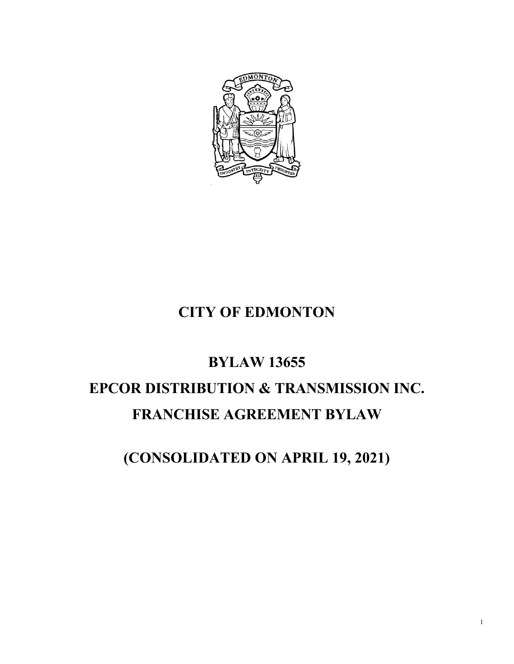

## **CITY OF EDMONTON**

# **BYLAW 13655 EPCOR DISTRIBUTION & TRANSMISSION INC. FRANCHISE AGREEMENT BYLAW**

**(CONSOLIDATED ON APRIL 19, 2021)**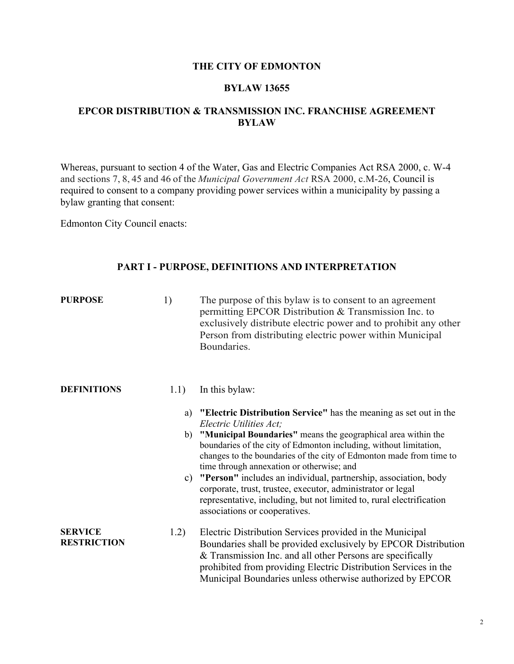#### **THE CITY OF EDMONTON**

#### **BYLAW 13655**

#### **EPCOR DISTRIBUTION & TRANSMISSION INC. FRANCHISE AGREEMENT BYLAW**

Whereas, pursuant to section 4 of the Water, Gas and Electric Companies Act RSA 2000, c. W-4 and sections 7, 8, 45 and 46 of the *Municipal Government Act* RSA 2000, c.M-26, Council is required to consent to a company providing power services within a municipality by passing a bylaw granting that consent:

Edmonton City Council enacts:

#### **PART I - PURPOSE, DEFINITIONS AND INTERPRETATION**

| <b>PURPOSE</b>                       | 1)       | The purpose of this bylaw is to consent to an agreement<br>permitting EPCOR Distribution & Transmission Inc. to<br>exclusively distribute electric power and to prohibit any other<br>Person from distributing electric power within Municipal<br>Boundaries.                                                                                                                                                                                                                                                                                                                                        |
|--------------------------------------|----------|------------------------------------------------------------------------------------------------------------------------------------------------------------------------------------------------------------------------------------------------------------------------------------------------------------------------------------------------------------------------------------------------------------------------------------------------------------------------------------------------------------------------------------------------------------------------------------------------------|
| <b>DEFINITIONS</b>                   | 1.1)     | In this bylaw:                                                                                                                                                                                                                                                                                                                                                                                                                                                                                                                                                                                       |
|                                      | a)<br>b) | "Electric Distribution Service" has the meaning as set out in the<br>Electric Utilities Act;<br>"Municipal Boundaries" means the geographical area within the<br>boundaries of the city of Edmonton including, without limitation,<br>changes to the boundaries of the city of Edmonton made from time to<br>time through annexation or otherwise; and<br>c) "Person" includes an individual, partnership, association, body<br>corporate, trust, trustee, executor, administrator or legal<br>representative, including, but not limited to, rural electrification<br>associations or cooperatives. |
| <b>SERVICE</b><br><b>RESTRICTION</b> | 1.2)     | Electric Distribution Services provided in the Municipal<br>Boundaries shall be provided exclusively by EPCOR Distribution<br>& Transmission Inc. and all other Persons are specifically<br>prohibited from providing Electric Distribution Services in the<br>Municipal Boundaries unless otherwise authorized by EPCOR                                                                                                                                                                                                                                                                             |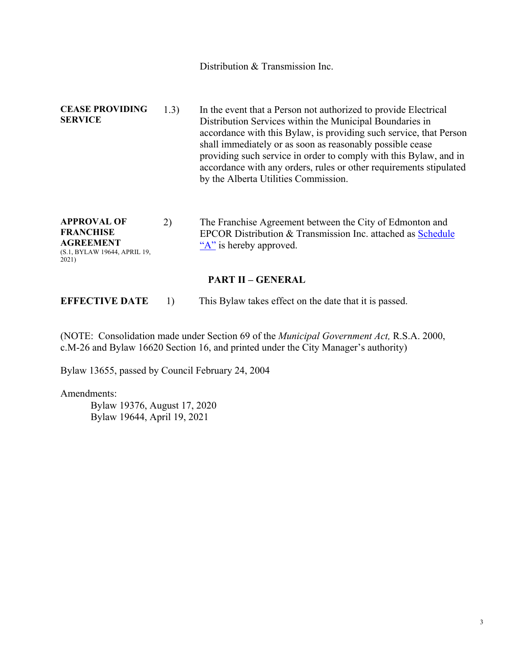Distribution & Transmission Inc. **CEASE PROVIDING SERVICE**  1.3) In the event that a Person not authorized to provide Electrical Distribution Services within the Municipal Boundaries in accordance with this Bylaw, is providing such service, that Person shall immediately or as soon as reasonably possible cease providing such service in order to comply with this Bylaw, and in accordance with any orders, rules or other requirements stipulated by the Alberta Utilities Commission.

**APPROVAL OF FRANCHISE AGREEMENT**  (S.1, BYLAW 19644, APRIL 19, 2021) 2) The Franchise Agreement between the City of Edmonton and EPCOR Distribution & Transmission Inc. attached as Schedule "A" is hereby approved.

**PART II – GENERAL** 

**EFFECTIVE DATE** 1) This Bylaw takes effect on the date that it is passed.

(NOTE: Consolidation made under Section 69 of the *Municipal Government Act,* R.S.A. 2000, c.M-26 and Bylaw 16620 Section 16, and printed under the City Manager's authority)

Bylaw 13655, passed by Council February 24, 2004

Amendments:

 Bylaw 19376, August 17, 2020 Bylaw 19644, April 19, 2021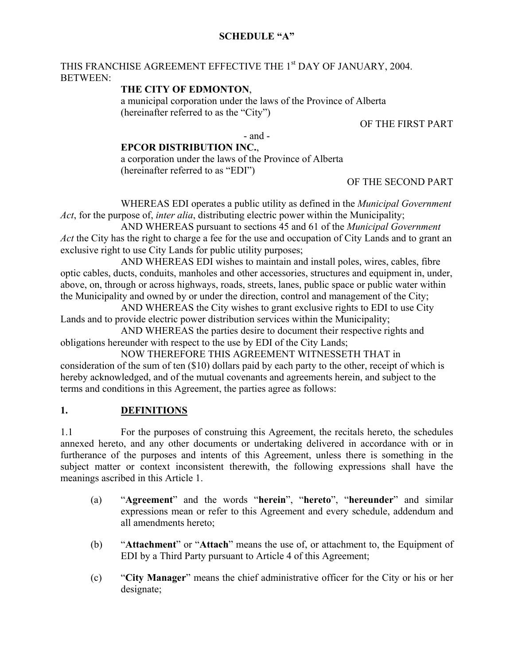#### **SCHEDULE "A"**

#### THIS FRANCHISE AGREEMENT EFFECTIVE THE 1<sup>st</sup> DAY OF JANUARY, 2004. BETWEEN:

#### **THE CITY OF EDMONTON**,

a municipal corporation under the laws of the Province of Alberta (hereinafter referred to as the "City")

#### OF THE FIRST PART

- and -

#### **EPCOR DISTRIBUTION INC.**,

a corporation under the laws of the Province of Alberta (hereinafter referred to as "EDI")

#### OF THE SECOND PART

WHEREAS EDI operates a public utility as defined in the *Municipal Government Act*, for the purpose of, *inter alia*, distributing electric power within the Municipality;

AND WHEREAS pursuant to sections 45 and 61 of the *Municipal Government Act* the City has the right to charge a fee for the use and occupation of City Lands and to grant an exclusive right to use City Lands for public utility purposes;

AND WHEREAS EDI wishes to maintain and install poles, wires, cables, fibre optic cables, ducts, conduits, manholes and other accessories, structures and equipment in, under, above, on, through or across highways, roads, streets, lanes, public space or public water within the Municipality and owned by or under the direction, control and management of the City;

AND WHEREAS the City wishes to grant exclusive rights to EDI to use City Lands and to provide electric power distribution services within the Municipality;

AND WHEREAS the parties desire to document their respective rights and obligations hereunder with respect to the use by EDI of the City Lands;

NOW THEREFORE THIS AGREEMENT WITNESSETH THAT in consideration of the sum of ten (\$10) dollars paid by each party to the other, receipt of which is hereby acknowledged, and of the mutual covenants and agreements herein, and subject to the terms and conditions in this Agreement, the parties agree as follows:

#### **1. DEFINITIONS**

1.1 For the purposes of construing this Agreement, the recitals hereto, the schedules annexed hereto, and any other documents or undertaking delivered in accordance with or in furtherance of the purposes and intents of this Agreement, unless there is something in the subject matter or context inconsistent therewith, the following expressions shall have the meanings ascribed in this Article 1.

- (a) "**Agreement**" and the words "**herein**", "**hereto**", "**hereunder**" and similar expressions mean or refer to this Agreement and every schedule, addendum and all amendments hereto;
- (b) "**Attachment**" or "**Attach**" means the use of, or attachment to, the Equipment of EDI by a Third Party pursuant to Article 4 of this Agreement;
- (c) "**City Manager**" means the chief administrative officer for the City or his or her designate;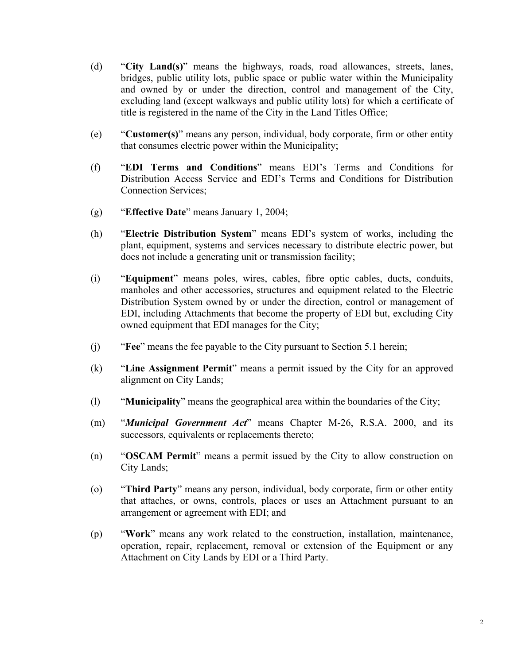- (d) "**City Land(s)**" means the highways, roads, road allowances, streets, lanes, bridges, public utility lots, public space or public water within the Municipality and owned by or under the direction, control and management of the City, excluding land (except walkways and public utility lots) for which a certificate of title is registered in the name of the City in the Land Titles Office;
- (e) "**Customer(s)**" means any person, individual, body corporate, firm or other entity that consumes electric power within the Municipality;
- (f) "**EDI Terms and Conditions**" means EDI's Terms and Conditions for Distribution Access Service and EDI's Terms and Conditions for Distribution Connection Services;
- (g) "**Effective Date**" means January 1, 2004;
- (h) "**Electric Distribution System**" means EDI's system of works, including the plant, equipment, systems and services necessary to distribute electric power, but does not include a generating unit or transmission facility;
- (i) "**Equipment**" means poles, wires, cables, fibre optic cables, ducts, conduits, manholes and other accessories, structures and equipment related to the Electric Distribution System owned by or under the direction, control or management of EDI, including Attachments that become the property of EDI but, excluding City owned equipment that EDI manages for the City;
- (j) "**Fee**" means the fee payable to the City pursuant to Section 5.1 herein;
- (k) "**Line Assignment Permit**" means a permit issued by the City for an approved alignment on City Lands;
- (l) "**Municipality**" means the geographical area within the boundaries of the City;
- (m) "*Municipal Government Act*" means Chapter M-26, R.S.A. 2000, and its successors, equivalents or replacements thereto;
- (n) "**OSCAM Permit**" means a permit issued by the City to allow construction on City Lands;
- (o) "**Third Party**" means any person, individual, body corporate, firm or other entity that attaches, or owns, controls, places or uses an Attachment pursuant to an arrangement or agreement with EDI; and
- (p) "**Work**" means any work related to the construction, installation, maintenance, operation, repair, replacement, removal or extension of the Equipment or any Attachment on City Lands by EDI or a Third Party.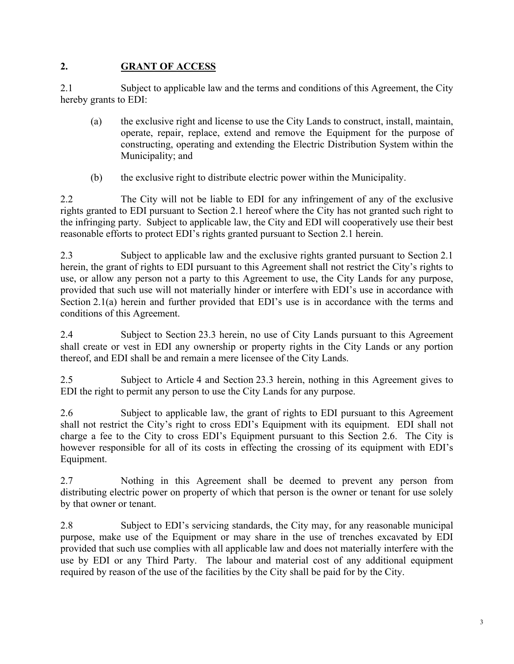#### **2. GRANT OF ACCESS**

2.1 Subject to applicable law and the terms and conditions of this Agreement, the City hereby grants to EDI:

- (a) the exclusive right and license to use the City Lands to construct, install, maintain, operate, repair, replace, extend and remove the Equipment for the purpose of constructing, operating and extending the Electric Distribution System within the Municipality; and
- (b) the exclusive right to distribute electric power within the Municipality.

2.2 The City will not be liable to EDI for any infringement of any of the exclusive rights granted to EDI pursuant to Section 2.1 hereof where the City has not granted such right to the infringing party. Subject to applicable law, the City and EDI will cooperatively use their best reasonable efforts to protect EDI's rights granted pursuant to Section 2.1 herein.

2.3 Subject to applicable law and the exclusive rights granted pursuant to Section 2.1 herein, the grant of rights to EDI pursuant to this Agreement shall not restrict the City's rights to use, or allow any person not a party to this Agreement to use, the City Lands for any purpose, provided that such use will not materially hinder or interfere with EDI's use in accordance with Section 2.1(a) herein and further provided that EDI's use is in accordance with the terms and conditions of this Agreement.

2.4 Subject to Section 23.3 herein, no use of City Lands pursuant to this Agreement shall create or vest in EDI any ownership or property rights in the City Lands or any portion thereof, and EDI shall be and remain a mere licensee of the City Lands.

2.5 Subject to Article 4 and Section 23.3 herein, nothing in this Agreement gives to EDI the right to permit any person to use the City Lands for any purpose.

2.6 Subject to applicable law, the grant of rights to EDI pursuant to this Agreement shall not restrict the City's right to cross EDI's Equipment with its equipment. EDI shall not charge a fee to the City to cross EDI's Equipment pursuant to this Section 2.6. The City is however responsible for all of its costs in effecting the crossing of its equipment with EDI's Equipment.

2.7 Nothing in this Agreement shall be deemed to prevent any person from distributing electric power on property of which that person is the owner or tenant for use solely by that owner or tenant.

2.8 Subject to EDI's servicing standards, the City may, for any reasonable municipal purpose, make use of the Equipment or may share in the use of trenches excavated by EDI provided that such use complies with all applicable law and does not materially interfere with the use by EDI or any Third Party. The labour and material cost of any additional equipment required by reason of the use of the facilities by the City shall be paid for by the City.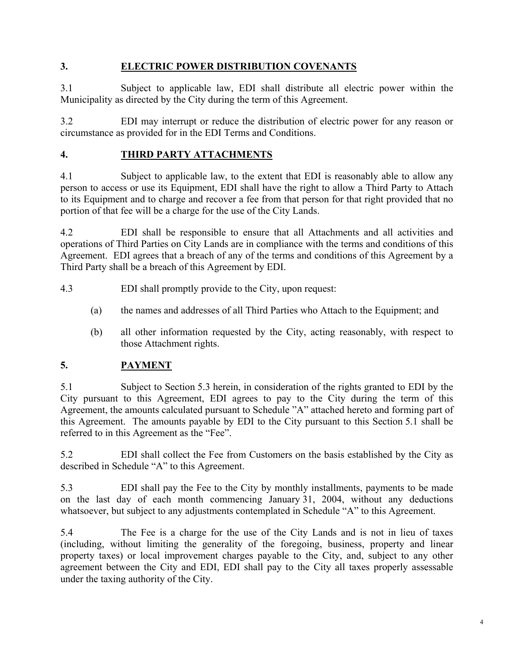#### **3. ELECTRIC POWER DISTRIBUTION COVENANTS**

3.1 Subject to applicable law, EDI shall distribute all electric power within the Municipality as directed by the City during the term of this Agreement.

3.2 EDI may interrupt or reduce the distribution of electric power for any reason or circumstance as provided for in the EDI Terms and Conditions.

### **4. THIRD PARTY ATTACHMENTS**

4.1 Subject to applicable law, to the extent that EDI is reasonably able to allow any person to access or use its Equipment, EDI shall have the right to allow a Third Party to Attach to its Equipment and to charge and recover a fee from that person for that right provided that no portion of that fee will be a charge for the use of the City Lands.

4.2 EDI shall be responsible to ensure that all Attachments and all activities and operations of Third Parties on City Lands are in compliance with the terms and conditions of this Agreement. EDI agrees that a breach of any of the terms and conditions of this Agreement by a Third Party shall be a breach of this Agreement by EDI.

4.3 EDI shall promptly provide to the City, upon request:

- (a) the names and addresses of all Third Parties who Attach to the Equipment; and
- (b) all other information requested by the City, acting reasonably, with respect to those Attachment rights.

#### **5. PAYMENT**

5.1 Subject to Section 5.3 herein, in consideration of the rights granted to EDI by the City pursuant to this Agreement, EDI agrees to pay to the City during the term of this Agreement, the amounts calculated pursuant to Schedule "A" attached hereto and forming part of this Agreement. The amounts payable by EDI to the City pursuant to this Section 5.1 shall be referred to in this Agreement as the "Fee".

5.2 EDI shall collect the Fee from Customers on the basis established by the City as described in Schedule "A" to this Agreement.

5.3 EDI shall pay the Fee to the City by monthly installments, payments to be made on the last day of each month commencing January 31, 2004, without any deductions whatsoever, but subject to any adjustments contemplated in Schedule "A" to this Agreement.

5.4 The Fee is a charge for the use of the City Lands and is not in lieu of taxes (including, without limiting the generality of the foregoing, business, property and linear property taxes) or local improvement charges payable to the City, and, subject to any other agreement between the City and EDI, EDI shall pay to the City all taxes properly assessable under the taxing authority of the City.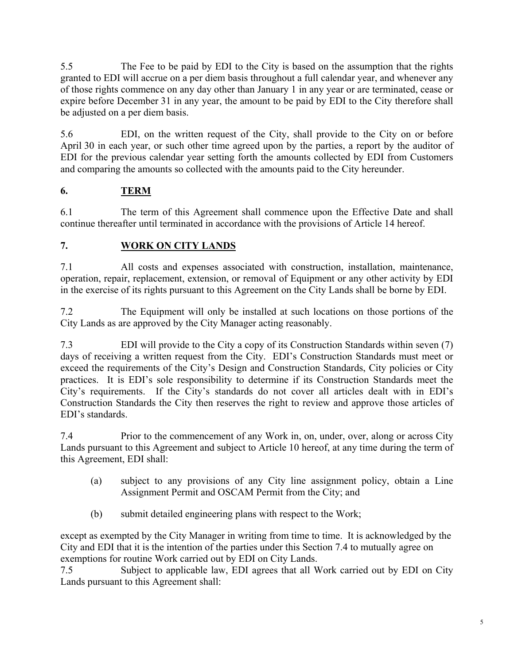5.5 The Fee to be paid by EDI to the City is based on the assumption that the rights granted to EDI will accrue on a per diem basis throughout a full calendar year, and whenever any of those rights commence on any day other than January 1 in any year or are terminated, cease or expire before December 31 in any year, the amount to be paid by EDI to the City therefore shall be adjusted on a per diem basis.

5.6 EDI, on the written request of the City, shall provide to the City on or before April 30 in each year, or such other time agreed upon by the parties, a report by the auditor of EDI for the previous calendar year setting forth the amounts collected by EDI from Customers and comparing the amounts so collected with the amounts paid to the City hereunder.

## **6. TERM**

6.1 The term of this Agreement shall commence upon the Effective Date and shall continue thereafter until terminated in accordance with the provisions of Article 14 hereof.

## **7. WORK ON CITY LANDS**

7.1 All costs and expenses associated with construction, installation, maintenance, operation, repair, replacement, extension, or removal of Equipment or any other activity by EDI in the exercise of its rights pursuant to this Agreement on the City Lands shall be borne by EDI.

7.2 The Equipment will only be installed at such locations on those portions of the City Lands as are approved by the City Manager acting reasonably.

7.3 EDI will provide to the City a copy of its Construction Standards within seven (7) days of receiving a written request from the City. EDI's Construction Standards must meet or exceed the requirements of the City's Design and Construction Standards, City policies or City practices. It is EDI's sole responsibility to determine if its Construction Standards meet the City's requirements. If the City's standards do not cover all articles dealt with in EDI's Construction Standards the City then reserves the right to review and approve those articles of EDI's standards.

7.4 Prior to the commencement of any Work in, on, under, over, along or across City Lands pursuant to this Agreement and subject to Article 10 hereof, at any time during the term of this Agreement, EDI shall:

- (a) subject to any provisions of any City line assignment policy, obtain a Line Assignment Permit and OSCAM Permit from the City; and
- (b) submit detailed engineering plans with respect to the Work;

except as exempted by the City Manager in writing from time to time. It is acknowledged by the City and EDI that it is the intention of the parties under this Section 7.4 to mutually agree on exemptions for routine Work carried out by EDI on City Lands.

7.5 Subject to applicable law, EDI agrees that all Work carried out by EDI on City Lands pursuant to this Agreement shall: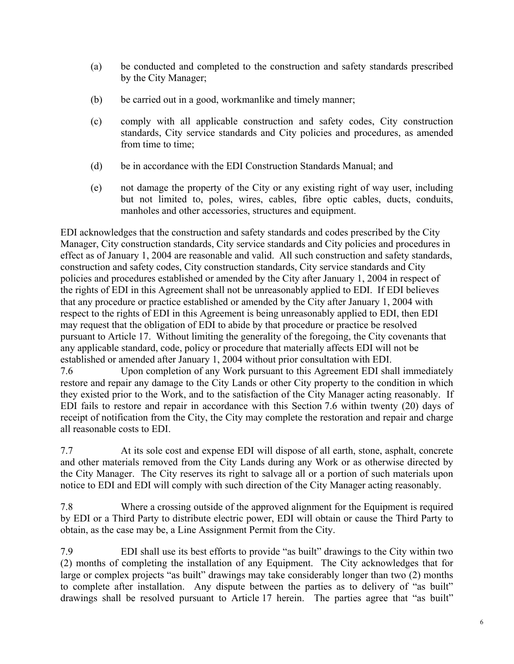- (a) be conducted and completed to the construction and safety standards prescribed by the City Manager;
- (b) be carried out in a good, workmanlike and timely manner;
- (c) comply with all applicable construction and safety codes, City construction standards, City service standards and City policies and procedures, as amended from time to time;
- (d) be in accordance with the EDI Construction Standards Manual; and
- (e) not damage the property of the City or any existing right of way user, including but not limited to, poles, wires, cables, fibre optic cables, ducts, conduits, manholes and other accessories, structures and equipment.

EDI acknowledges that the construction and safety standards and codes prescribed by the City Manager, City construction standards, City service standards and City policies and procedures in effect as of January 1, 2004 are reasonable and valid. All such construction and safety standards, construction and safety codes, City construction standards, City service standards and City policies and procedures established or amended by the City after January 1, 2004 in respect of the rights of EDI in this Agreement shall not be unreasonably applied to EDI. If EDI believes that any procedure or practice established or amended by the City after January 1, 2004 with respect to the rights of EDI in this Agreement is being unreasonably applied to EDI, then EDI may request that the obligation of EDI to abide by that procedure or practice be resolved pursuant to Article 17. Without limiting the generality of the foregoing, the City covenants that any applicable standard, code, policy or procedure that materially affects EDI will not be established or amended after January 1, 2004 without prior consultation with EDI.

7.6 Upon completion of any Work pursuant to this Agreement EDI shall immediately restore and repair any damage to the City Lands or other City property to the condition in which they existed prior to the Work, and to the satisfaction of the City Manager acting reasonably. If EDI fails to restore and repair in accordance with this Section 7.6 within twenty (20) days of receipt of notification from the City, the City may complete the restoration and repair and charge all reasonable costs to EDI.

7.7 At its sole cost and expense EDI will dispose of all earth, stone, asphalt, concrete and other materials removed from the City Lands during any Work or as otherwise directed by the City Manager. The City reserves its right to salvage all or a portion of such materials upon notice to EDI and EDI will comply with such direction of the City Manager acting reasonably.

7.8 Where a crossing outside of the approved alignment for the Equipment is required by EDI or a Third Party to distribute electric power, EDI will obtain or cause the Third Party to obtain, as the case may be, a Line Assignment Permit from the City.

7.9 EDI shall use its best efforts to provide "as built" drawings to the City within two (2) months of completing the installation of any Equipment. The City acknowledges that for large or complex projects "as built" drawings may take considerably longer than two (2) months to complete after installation. Any dispute between the parties as to delivery of "as built" drawings shall be resolved pursuant to Article 17 herein. The parties agree that "as built"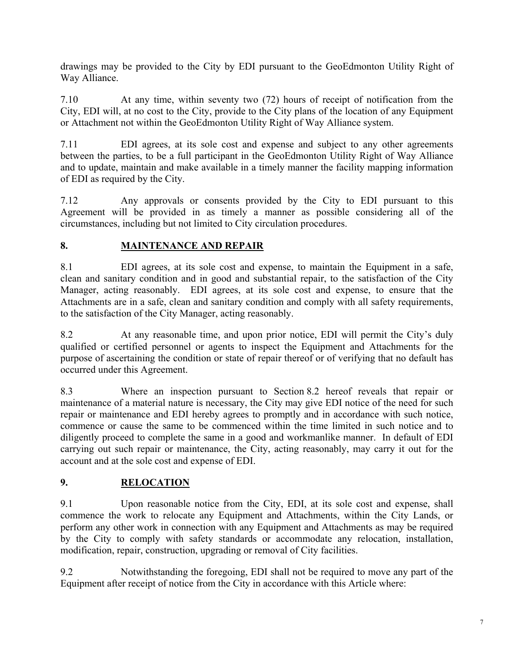drawings may be provided to the City by EDI pursuant to the GeoEdmonton Utility Right of Way Alliance.

7.10 At any time, within seventy two (72) hours of receipt of notification from the City, EDI will, at no cost to the City, provide to the City plans of the location of any Equipment or Attachment not within the GeoEdmonton Utility Right of Way Alliance system.

7.11 EDI agrees, at its sole cost and expense and subject to any other agreements between the parties, to be a full participant in the GeoEdmonton Utility Right of Way Alliance and to update, maintain and make available in a timely manner the facility mapping information of EDI as required by the City.

7.12 Any approvals or consents provided by the City to EDI pursuant to this Agreement will be provided in as timely a manner as possible considering all of the circumstances, including but not limited to City circulation procedures.

## **8. MAINTENANCE AND REPAIR**

8.1 EDI agrees, at its sole cost and expense, to maintain the Equipment in a safe, clean and sanitary condition and in good and substantial repair, to the satisfaction of the City Manager, acting reasonably. EDI agrees, at its sole cost and expense, to ensure that the Attachments are in a safe, clean and sanitary condition and comply with all safety requirements, to the satisfaction of the City Manager, acting reasonably.

8.2 At any reasonable time, and upon prior notice, EDI will permit the City's duly qualified or certified personnel or agents to inspect the Equipment and Attachments for the purpose of ascertaining the condition or state of repair thereof or of verifying that no default has occurred under this Agreement.

8.3 Where an inspection pursuant to Section 8.2 hereof reveals that repair or maintenance of a material nature is necessary, the City may give EDI notice of the need for such repair or maintenance and EDI hereby agrees to promptly and in accordance with such notice, commence or cause the same to be commenced within the time limited in such notice and to diligently proceed to complete the same in a good and workmanlike manner. In default of EDI carrying out such repair or maintenance, the City, acting reasonably, may carry it out for the account and at the sole cost and expense of EDI.

## **9. RELOCATION**

9.1 Upon reasonable notice from the City, EDI, at its sole cost and expense, shall commence the work to relocate any Equipment and Attachments, within the City Lands, or perform any other work in connection with any Equipment and Attachments as may be required by the City to comply with safety standards or accommodate any relocation, installation, modification, repair, construction, upgrading or removal of City facilities.

9.2 Notwithstanding the foregoing, EDI shall not be required to move any part of the Equipment after receipt of notice from the City in accordance with this Article where: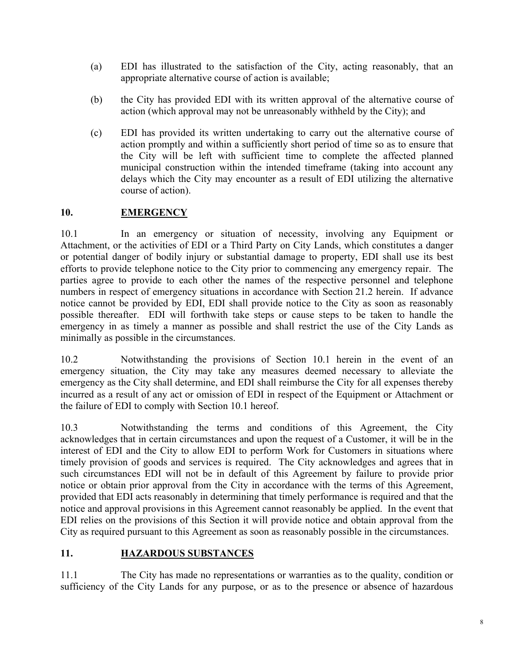- (a) EDI has illustrated to the satisfaction of the City, acting reasonably, that an appropriate alternative course of action is available;
- (b) the City has provided EDI with its written approval of the alternative course of action (which approval may not be unreasonably withheld by the City); and
- (c) EDI has provided its written undertaking to carry out the alternative course of action promptly and within a sufficiently short period of time so as to ensure that the City will be left with sufficient time to complete the affected planned municipal construction within the intended timeframe (taking into account any delays which the City may encounter as a result of EDI utilizing the alternative course of action).

#### **10. EMERGENCY**

10.1 In an emergency or situation of necessity, involving any Equipment or Attachment, or the activities of EDI or a Third Party on City Lands, which constitutes a danger or potential danger of bodily injury or substantial damage to property, EDI shall use its best efforts to provide telephone notice to the City prior to commencing any emergency repair. The parties agree to provide to each other the names of the respective personnel and telephone numbers in respect of emergency situations in accordance with Section 21.2 herein. If advance notice cannot be provided by EDI, EDI shall provide notice to the City as soon as reasonably possible thereafter. EDI will forthwith take steps or cause steps to be taken to handle the emergency in as timely a manner as possible and shall restrict the use of the City Lands as minimally as possible in the circumstances.

10.2 Notwithstanding the provisions of Section 10.1 herein in the event of an emergency situation, the City may take any measures deemed necessary to alleviate the emergency as the City shall determine, and EDI shall reimburse the City for all expenses thereby incurred as a result of any act or omission of EDI in respect of the Equipment or Attachment or the failure of EDI to comply with Section 10.1 hereof.

10.3 Notwithstanding the terms and conditions of this Agreement, the City acknowledges that in certain circumstances and upon the request of a Customer, it will be in the interest of EDI and the City to allow EDI to perform Work for Customers in situations where timely provision of goods and services is required. The City acknowledges and agrees that in such circumstances EDI will not be in default of this Agreement by failure to provide prior notice or obtain prior approval from the City in accordance with the terms of this Agreement, provided that EDI acts reasonably in determining that timely performance is required and that the notice and approval provisions in this Agreement cannot reasonably be applied. In the event that EDI relies on the provisions of this Section it will provide notice and obtain approval from the City as required pursuant to this Agreement as soon as reasonably possible in the circumstances.

## **11. HAZARDOUS SUBSTANCES**

11.1 The City has made no representations or warranties as to the quality, condition or sufficiency of the City Lands for any purpose, or as to the presence or absence of hazardous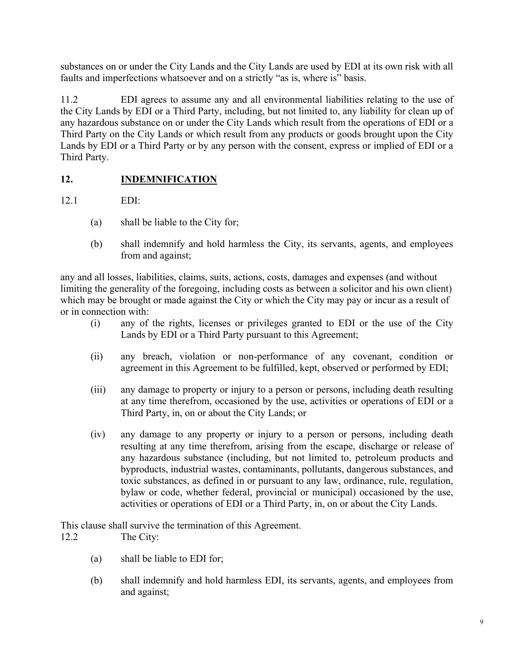substances on or under the City Lands and the City Lands are used by EDI at its own risk with all faults and imperfections whatsoever and on a strictly "as is, where is" basis.

11.2 EDI agrees to assume any and all environmental liabilities relating to the use of the City Lands by EDI or a Third Party, including, but not limited to, any liability for clean up of any hazardous substance on or under the City Lands which result from the operations of EDI or a Third Party on the City Lands or which result from any products or goods brought upon the City Lands by EDI or a Third Party or by any person with the consent, express or implied of EDI or a Third Party.

## **12. INDEMNIFICATION**

12.1 EDI:

- (a) shall be liable to the City for;
- (b) shall indemnify and hold harmless the City, its servants, agents, and employees from and against;

any and all losses, liabilities, claims, suits, actions, costs, damages and expenses (and without limiting the generality of the foregoing, including costs as between a solicitor and his own client) which may be brought or made against the City or which the City may pay or incur as a result of or in connection with:

- (i) any of the rights, licenses or privileges granted to EDI or the use of the City Lands by EDI or a Third Party pursuant to this Agreement;
- (ii) any breach, violation or non-performance of any covenant, condition or agreement in this Agreement to be fulfilled, kept, observed or performed by EDI;
- (iii) any damage to property or injury to a person or persons, including death resulting at any time therefrom, occasioned by the use, activities or operations of EDI or a Third Party, in, on or about the City Lands; or
- (iv) any damage to any property or injury to a person or persons, including death resulting at any time therefrom, arising from the escape, discharge or release of any hazardous substance (including, but not limited to, petroleum products and byproducts, industrial wastes, contaminants, pollutants, dangerous substances, and toxic substances, as defined in or pursuant to any law, ordinance, rule, regulation, bylaw or code, whether federal, provincial or municipal) occasioned by the use, activities or operations of EDI or a Third Party, in, on or about the City Lands.

This clause shall survive the termination of this Agreement.

12.2 The City:

- (a) shall be liable to EDI for;
- (b) shall indemnify and hold harmless EDI, its servants, agents, and employees from and against;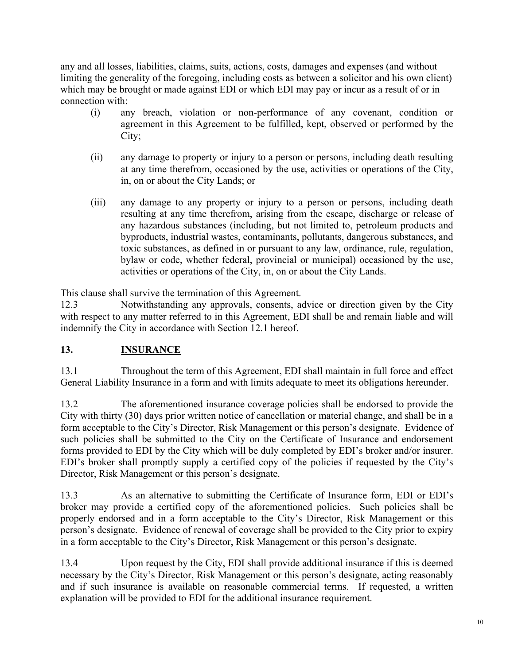any and all losses, liabilities, claims, suits, actions, costs, damages and expenses (and without limiting the generality of the foregoing, including costs as between a solicitor and his own client) which may be brought or made against EDI or which EDI may pay or incur as a result of or in connection with:

- (i) any breach, violation or non-performance of any covenant, condition or agreement in this Agreement to be fulfilled, kept, observed or performed by the City;
- (ii) any damage to property or injury to a person or persons, including death resulting at any time therefrom, occasioned by the use, activities or operations of the City, in, on or about the City Lands; or
- (iii) any damage to any property or injury to a person or persons, including death resulting at any time therefrom, arising from the escape, discharge or release of any hazardous substances (including, but not limited to, petroleum products and byproducts, industrial wastes, contaminants, pollutants, dangerous substances, and toxic substances, as defined in or pursuant to any law, ordinance, rule, regulation, bylaw or code, whether federal, provincial or municipal) occasioned by the use, activities or operations of the City, in, on or about the City Lands.

This clause shall survive the termination of this Agreement.

12.3 Notwithstanding any approvals, consents, advice or direction given by the City with respect to any matter referred to in this Agreement, EDI shall be and remain liable and will indemnify the City in accordance with Section 12.1 hereof.

## **13. INSURANCE**

13.1 Throughout the term of this Agreement, EDI shall maintain in full force and effect General Liability Insurance in a form and with limits adequate to meet its obligations hereunder.

13.2 The aforementioned insurance coverage policies shall be endorsed to provide the City with thirty (30) days prior written notice of cancellation or material change, and shall be in a form acceptable to the City's Director, Risk Management or this person's designate. Evidence of such policies shall be submitted to the City on the Certificate of Insurance and endorsement forms provided to EDI by the City which will be duly completed by EDI's broker and/or insurer. EDI's broker shall promptly supply a certified copy of the policies if requested by the City's Director, Risk Management or this person's designate.

13.3 As an alternative to submitting the Certificate of Insurance form, EDI or EDI's broker may provide a certified copy of the aforementioned policies. Such policies shall be properly endorsed and in a form acceptable to the City's Director, Risk Management or this person's designate. Evidence of renewal of coverage shall be provided to the City prior to expiry in a form acceptable to the City's Director, Risk Management or this person's designate.

13.4 Upon request by the City, EDI shall provide additional insurance if this is deemed necessary by the City's Director, Risk Management or this person's designate, acting reasonably and if such insurance is available on reasonable commercial terms. If requested, a written explanation will be provided to EDI for the additional insurance requirement.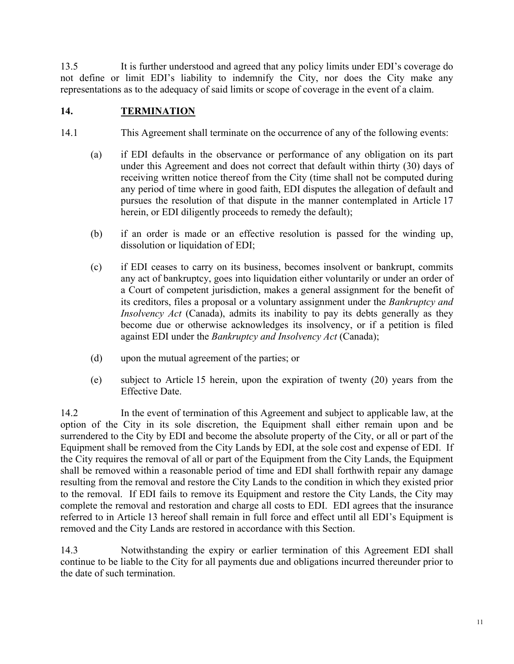13.5 It is further understood and agreed that any policy limits under EDI's coverage do not define or limit EDI's liability to indemnify the City, nor does the City make any representations as to the adequacy of said limits or scope of coverage in the event of a claim.

#### **14. TERMINATION**

- 14.1 This Agreement shall terminate on the occurrence of any of the following events:
	- (a) if EDI defaults in the observance or performance of any obligation on its part under this Agreement and does not correct that default within thirty (30) days of receiving written notice thereof from the City (time shall not be computed during any period of time where in good faith, EDI disputes the allegation of default and pursues the resolution of that dispute in the manner contemplated in Article 17 herein, or EDI diligently proceeds to remedy the default);
	- (b) if an order is made or an effective resolution is passed for the winding up, dissolution or liquidation of EDI;
	- (c) if EDI ceases to carry on its business, becomes insolvent or bankrupt, commits any act of bankruptcy, goes into liquidation either voluntarily or under an order of a Court of competent jurisdiction, makes a general assignment for the benefit of its creditors, files a proposal or a voluntary assignment under the *Bankruptcy and Insolvency Act* (Canada), admits its inability to pay its debts generally as they become due or otherwise acknowledges its insolvency, or if a petition is filed against EDI under the *Bankruptcy and Insolvency Act* (Canada);
	- (d) upon the mutual agreement of the parties; or
	- (e) subject to Article 15 herein, upon the expiration of twenty (20) years from the Effective Date.

14.2 In the event of termination of this Agreement and subject to applicable law, at the option of the City in its sole discretion, the Equipment shall either remain upon and be surrendered to the City by EDI and become the absolute property of the City, or all or part of the Equipment shall be removed from the City Lands by EDI, at the sole cost and expense of EDI. If the City requires the removal of all or part of the Equipment from the City Lands, the Equipment shall be removed within a reasonable period of time and EDI shall forthwith repair any damage resulting from the removal and restore the City Lands to the condition in which they existed prior to the removal. If EDI fails to remove its Equipment and restore the City Lands, the City may complete the removal and restoration and charge all costs to EDI. EDI agrees that the insurance referred to in Article 13 hereof shall remain in full force and effect until all EDI's Equipment is removed and the City Lands are restored in accordance with this Section.

14.3 Notwithstanding the expiry or earlier termination of this Agreement EDI shall continue to be liable to the City for all payments due and obligations incurred thereunder prior to the date of such termination.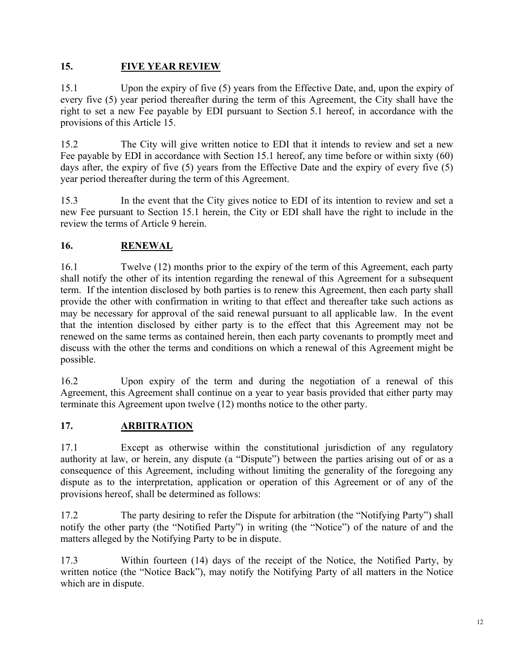### **15. FIVE YEAR REVIEW**

15.1 Upon the expiry of five (5) years from the Effective Date, and, upon the expiry of every five (5) year period thereafter during the term of this Agreement, the City shall have the right to set a new Fee payable by EDI pursuant to Section 5.1 hereof, in accordance with the provisions of this Article 15.

15.2 The City will give written notice to EDI that it intends to review and set a new Fee payable by EDI in accordance with Section 15.1 hereof, any time before or within sixty (60) days after, the expiry of five (5) years from the Effective Date and the expiry of every five (5) year period thereafter during the term of this Agreement.

15.3 In the event that the City gives notice to EDI of its intention to review and set a new Fee pursuant to Section 15.1 herein, the City or EDI shall have the right to include in the review the terms of Article 9 herein.

## **16. RENEWAL**

16.1 Twelve (12) months prior to the expiry of the term of this Agreement, each party shall notify the other of its intention regarding the renewal of this Agreement for a subsequent term. If the intention disclosed by both parties is to renew this Agreement, then each party shall provide the other with confirmation in writing to that effect and thereafter take such actions as may be necessary for approval of the said renewal pursuant to all applicable law. In the event that the intention disclosed by either party is to the effect that this Agreement may not be renewed on the same terms as contained herein, then each party covenants to promptly meet and discuss with the other the terms and conditions on which a renewal of this Agreement might be possible.

16.2 Upon expiry of the term and during the negotiation of a renewal of this Agreement, this Agreement shall continue on a year to year basis provided that either party may terminate this Agreement upon twelve (12) months notice to the other party.

## **17. ARBITRATION**

17.1 Except as otherwise within the constitutional jurisdiction of any regulatory authority at law, or herein, any dispute (a "Dispute") between the parties arising out of or as a consequence of this Agreement, including without limiting the generality of the foregoing any dispute as to the interpretation, application or operation of this Agreement or of any of the provisions hereof, shall be determined as follows:

17.2 The party desiring to refer the Dispute for arbitration (the "Notifying Party") shall notify the other party (the "Notified Party") in writing (the "Notice") of the nature of and the matters alleged by the Notifying Party to be in dispute.

17.3 Within fourteen (14) days of the receipt of the Notice, the Notified Party, by written notice (the "Notice Back"), may notify the Notifying Party of all matters in the Notice which are in dispute.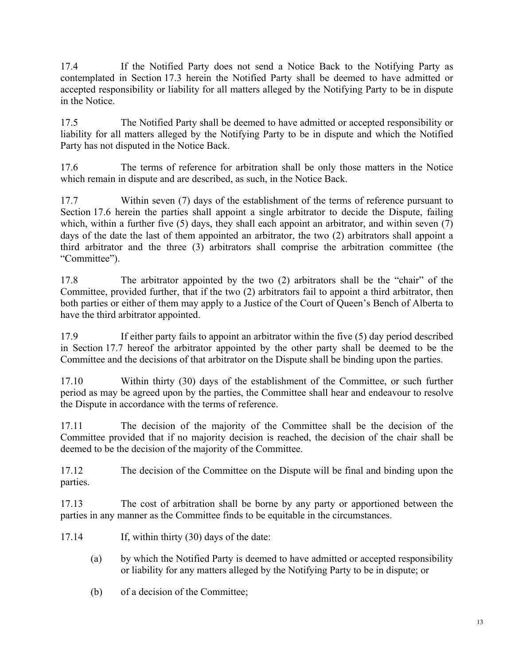17.4 If the Notified Party does not send a Notice Back to the Notifying Party as contemplated in Section 17.3 herein the Notified Party shall be deemed to have admitted or accepted responsibility or liability for all matters alleged by the Notifying Party to be in dispute in the Notice.

17.5 The Notified Party shall be deemed to have admitted or accepted responsibility or liability for all matters alleged by the Notifying Party to be in dispute and which the Notified Party has not disputed in the Notice Back.

17.6 The terms of reference for arbitration shall be only those matters in the Notice which remain in dispute and are described, as such, in the Notice Back.

17.7 Within seven (7) days of the establishment of the terms of reference pursuant to Section 17.6 herein the parties shall appoint a single arbitrator to decide the Dispute, failing which, within a further five  $(5)$  days, they shall each appoint an arbitrator, and within seven  $(7)$ days of the date the last of them appointed an arbitrator, the two (2) arbitrators shall appoint a third arbitrator and the three (3) arbitrators shall comprise the arbitration committee (the "Committee").

17.8 The arbitrator appointed by the two (2) arbitrators shall be the "chair" of the Committee, provided further, that if the two (2) arbitrators fail to appoint a third arbitrator, then both parties or either of them may apply to a Justice of the Court of Queen's Bench of Alberta to have the third arbitrator appointed.

17.9 If either party fails to appoint an arbitrator within the five (5) day period described in Section 17.7 hereof the arbitrator appointed by the other party shall be deemed to be the Committee and the decisions of that arbitrator on the Dispute shall be binding upon the parties.

17.10 Within thirty (30) days of the establishment of the Committee, or such further period as may be agreed upon by the parties, the Committee shall hear and endeavour to resolve the Dispute in accordance with the terms of reference.

17.11 The decision of the majority of the Committee shall be the decision of the Committee provided that if no majority decision is reached, the decision of the chair shall be deemed to be the decision of the majority of the Committee.

17.12 The decision of the Committee on the Dispute will be final and binding upon the parties.

17.13 The cost of arbitration shall be borne by any party or apportioned between the parties in any manner as the Committee finds to be equitable in the circumstances.

- 17.14 If, within thirty (30) days of the date:
	- (a) by which the Notified Party is deemed to have admitted or accepted responsibility or liability for any matters alleged by the Notifying Party to be in dispute; or
	- (b) of a decision of the Committee;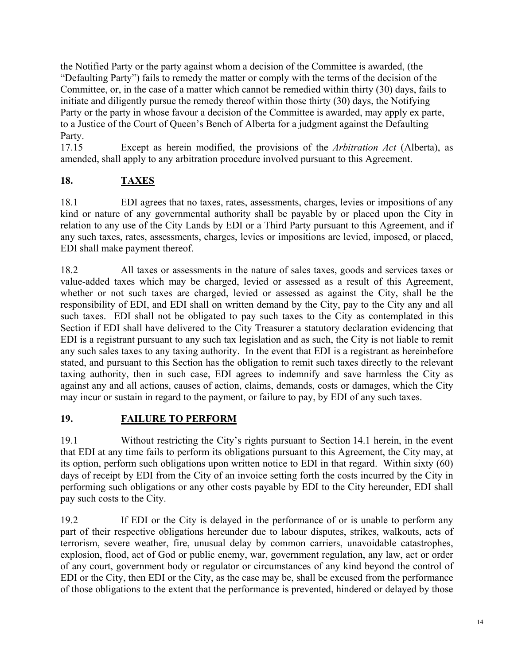the Notified Party or the party against whom a decision of the Committee is awarded, (the "Defaulting Party") fails to remedy the matter or comply with the terms of the decision of the Committee, or, in the case of a matter which cannot be remedied within thirty (30) days, fails to initiate and diligently pursue the remedy thereof within those thirty (30) days, the Notifying Party or the party in whose favour a decision of the Committee is awarded, may apply ex parte, to a Justice of the Court of Queen's Bench of Alberta for a judgment against the Defaulting Party.

17.15 Except as herein modified, the provisions of the *Arbitration Act* (Alberta), as amended, shall apply to any arbitration procedure involved pursuant to this Agreement.

## **18. TAXES**

18.1 EDI agrees that no taxes, rates, assessments, charges, levies or impositions of any kind or nature of any governmental authority shall be payable by or placed upon the City in relation to any use of the City Lands by EDI or a Third Party pursuant to this Agreement, and if any such taxes, rates, assessments, charges, levies or impositions are levied, imposed, or placed, EDI shall make payment thereof.

18.2 All taxes or assessments in the nature of sales taxes, goods and services taxes or value-added taxes which may be charged, levied or assessed as a result of this Agreement, whether or not such taxes are charged, levied or assessed as against the City, shall be the responsibility of EDI, and EDI shall on written demand by the City, pay to the City any and all such taxes. EDI shall not be obligated to pay such taxes to the City as contemplated in this Section if EDI shall have delivered to the City Treasurer a statutory declaration evidencing that EDI is a registrant pursuant to any such tax legislation and as such, the City is not liable to remit any such sales taxes to any taxing authority. In the event that EDI is a registrant as hereinbefore stated, and pursuant to this Section has the obligation to remit such taxes directly to the relevant taxing authority, then in such case, EDI agrees to indemnify and save harmless the City as against any and all actions, causes of action, claims, demands, costs or damages, which the City may incur or sustain in regard to the payment, or failure to pay, by EDI of any such taxes.

#### **19. FAILURE TO PERFORM**

19.1 Without restricting the City's rights pursuant to Section 14.1 herein, in the event that EDI at any time fails to perform its obligations pursuant to this Agreement, the City may, at its option, perform such obligations upon written notice to EDI in that regard. Within sixty (60) days of receipt by EDI from the City of an invoice setting forth the costs incurred by the City in performing such obligations or any other costs payable by EDI to the City hereunder, EDI shall pay such costs to the City.

19.2 If EDI or the City is delayed in the performance of or is unable to perform any part of their respective obligations hereunder due to labour disputes, strikes, walkouts, acts of terrorism, severe weather, fire, unusual delay by common carriers, unavoidable catastrophes, explosion, flood, act of God or public enemy, war, government regulation, any law, act or order of any court, government body or regulator or circumstances of any kind beyond the control of EDI or the City, then EDI or the City, as the case may be, shall be excused from the performance of those obligations to the extent that the performance is prevented, hindered or delayed by those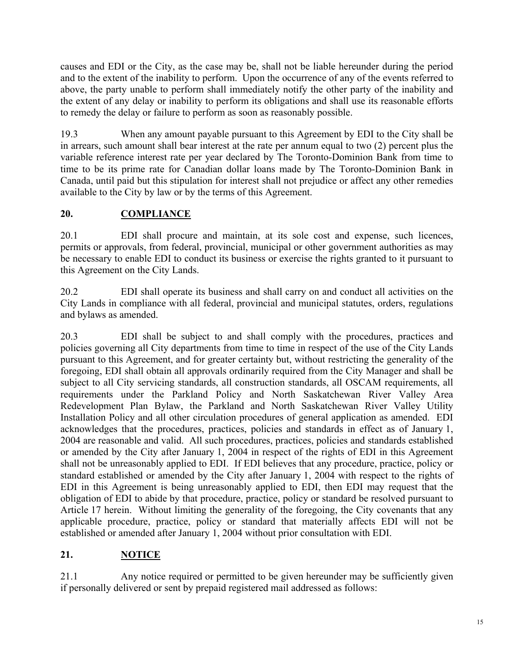causes and EDI or the City, as the case may be, shall not be liable hereunder during the period and to the extent of the inability to perform. Upon the occurrence of any of the events referred to above, the party unable to perform shall immediately notify the other party of the inability and the extent of any delay or inability to perform its obligations and shall use its reasonable efforts to remedy the delay or failure to perform as soon as reasonably possible.

19.3 When any amount payable pursuant to this Agreement by EDI to the City shall be in arrears, such amount shall bear interest at the rate per annum equal to two (2) percent plus the variable reference interest rate per year declared by The Toronto-Dominion Bank from time to time to be its prime rate for Canadian dollar loans made by The Toronto-Dominion Bank in Canada, until paid but this stipulation for interest shall not prejudice or affect any other remedies available to the City by law or by the terms of this Agreement.

## **20. COMPLIANCE**

20.1 EDI shall procure and maintain, at its sole cost and expense, such licences, permits or approvals, from federal, provincial, municipal or other government authorities as may be necessary to enable EDI to conduct its business or exercise the rights granted to it pursuant to this Agreement on the City Lands.

20.2 EDI shall operate its business and shall carry on and conduct all activities on the City Lands in compliance with all federal, provincial and municipal statutes, orders, regulations and bylaws as amended.

20.3 EDI shall be subject to and shall comply with the procedures, practices and policies governing all City departments from time to time in respect of the use of the City Lands pursuant to this Agreement, and for greater certainty but, without restricting the generality of the foregoing, EDI shall obtain all approvals ordinarily required from the City Manager and shall be subject to all City servicing standards, all construction standards, all OSCAM requirements, all requirements under the Parkland Policy and North Saskatchewan River Valley Area Redevelopment Plan Bylaw, the Parkland and North Saskatchewan River Valley Utility Installation Policy and all other circulation procedures of general application as amended. EDI acknowledges that the procedures, practices, policies and standards in effect as of January 1, 2004 are reasonable and valid. All such procedures, practices, policies and standards established or amended by the City after January 1, 2004 in respect of the rights of EDI in this Agreement shall not be unreasonably applied to EDI. If EDI believes that any procedure, practice, policy or standard established or amended by the City after January 1, 2004 with respect to the rights of EDI in this Agreement is being unreasonably applied to EDI, then EDI may request that the obligation of EDI to abide by that procedure, practice, policy or standard be resolved pursuant to Article 17 herein. Without limiting the generality of the foregoing, the City covenants that any applicable procedure, practice, policy or standard that materially affects EDI will not be established or amended after January 1, 2004 without prior consultation with EDI.

## **21. NOTICE**

21.1 Any notice required or permitted to be given hereunder may be sufficiently given if personally delivered or sent by prepaid registered mail addressed as follows: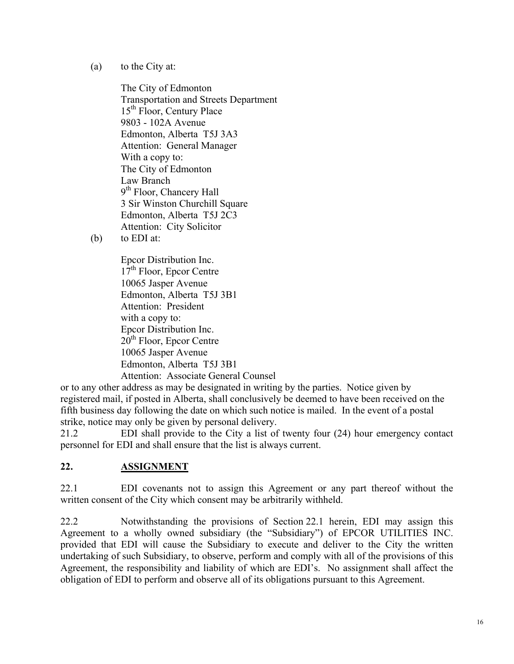(a) to the City at:

The City of Edmonton Transportation and Streets Department 15<sup>th</sup> Floor, Century Place 9803 - 102A Avenue Edmonton, Alberta T5J 3A3 Attention: General Manager With a copy to: The City of Edmonton Law Branch 9<sup>th</sup> Floor, Chancery Hall 3 Sir Winston Churchill Square Edmonton, Alberta T5J 2C3 Attention: City Solicitor

(b) to EDI at:

Epcor Distribution Inc. 17<sup>th</sup> Floor, Epcor Centre 10065 Jasper Avenue Edmonton, Alberta T5J 3B1 Attention: President with a copy to: Epcor Distribution Inc. 20<sup>th</sup> Floor, Epcor Centre 10065 Jasper Avenue Edmonton, Alberta T5J 3B1 Attention: Associate General Counsel

or to any other address as may be designated in writing by the parties. Notice given by registered mail, if posted in Alberta, shall conclusively be deemed to have been received on the fifth business day following the date on which such notice is mailed. In the event of a postal strike, notice may only be given by personal delivery.

21.2 EDI shall provide to the City a list of twenty four (24) hour emergency contact personnel for EDI and shall ensure that the list is always current.

#### **22. ASSIGNMENT**

22.1 EDI covenants not to assign this Agreement or any part thereof without the written consent of the City which consent may be arbitrarily withheld.

22.2 Notwithstanding the provisions of Section 22.1 herein, EDI may assign this Agreement to a wholly owned subsidiary (the "Subsidiary") of EPCOR UTILITIES INC. provided that EDI will cause the Subsidiary to execute and deliver to the City the written undertaking of such Subsidiary, to observe, perform and comply with all of the provisions of this Agreement, the responsibility and liability of which are EDI's. No assignment shall affect the obligation of EDI to perform and observe all of its obligations pursuant to this Agreement.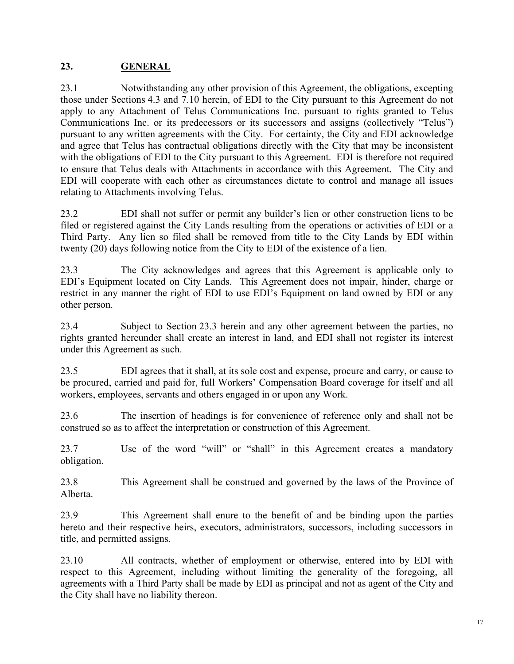#### **23. GENERAL**

23.1 Notwithstanding any other provision of this Agreement, the obligations, excepting those under Sections 4.3 and 7.10 herein, of EDI to the City pursuant to this Agreement do not apply to any Attachment of Telus Communications Inc. pursuant to rights granted to Telus Communications Inc. or its predecessors or its successors and assigns (collectively "Telus") pursuant to any written agreements with the City. For certainty, the City and EDI acknowledge and agree that Telus has contractual obligations directly with the City that may be inconsistent with the obligations of EDI to the City pursuant to this Agreement. EDI is therefore not required to ensure that Telus deals with Attachments in accordance with this Agreement. The City and EDI will cooperate with each other as circumstances dictate to control and manage all issues relating to Attachments involving Telus.

23.2 EDI shall not suffer or permit any builder's lien or other construction liens to be filed or registered against the City Lands resulting from the operations or activities of EDI or a Third Party. Any lien so filed shall be removed from title to the City Lands by EDI within twenty (20) days following notice from the City to EDI of the existence of a lien.

23.3 The City acknowledges and agrees that this Agreement is applicable only to EDI's Equipment located on City Lands. This Agreement does not impair, hinder, charge or restrict in any manner the right of EDI to use EDI's Equipment on land owned by EDI or any other person.

23.4 Subject to Section 23.3 herein and any other agreement between the parties, no rights granted hereunder shall create an interest in land, and EDI shall not register its interest under this Agreement as such.

23.5 EDI agrees that it shall, at its sole cost and expense, procure and carry, or cause to be procured, carried and paid for, full Workers' Compensation Board coverage for itself and all workers, employees, servants and others engaged in or upon any Work.

23.6 The insertion of headings is for convenience of reference only and shall not be construed so as to affect the interpretation or construction of this Agreement.

23.7 Use of the word "will" or "shall" in this Agreement creates a mandatory obligation.

23.8 This Agreement shall be construed and governed by the laws of the Province of Alberta.

23.9 This Agreement shall enure to the benefit of and be binding upon the parties hereto and their respective heirs, executors, administrators, successors, including successors in title, and permitted assigns.

23.10 All contracts, whether of employment or otherwise, entered into by EDI with respect to this Agreement, including without limiting the generality of the foregoing, all agreements with a Third Party shall be made by EDI as principal and not as agent of the City and the City shall have no liability thereon.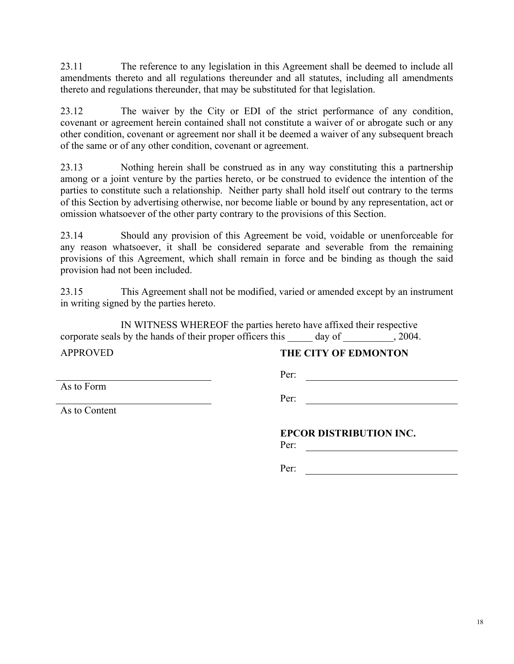23.11 The reference to any legislation in this Agreement shall be deemed to include all amendments thereto and all regulations thereunder and all statutes, including all amendments thereto and regulations thereunder, that may be substituted for that legislation.

23.12 The waiver by the City or EDI of the strict performance of any condition, covenant or agreement herein contained shall not constitute a waiver of or abrogate such or any other condition, covenant or agreement nor shall it be deemed a waiver of any subsequent breach of the same or of any other condition, covenant or agreement.

23.13 Nothing herein shall be construed as in any way constituting this a partnership among or a joint venture by the parties hereto, or be construed to evidence the intention of the parties to constitute such a relationship. Neither party shall hold itself out contrary to the terms of this Section by advertising otherwise, nor become liable or bound by any representation, act or omission whatsoever of the other party contrary to the provisions of this Section.

23.14 Should any provision of this Agreement be void, voidable or unenforceable for any reason whatsoever, it shall be considered separate and severable from the remaining provisions of this Agreement, which shall remain in force and be binding as though the said provision had not been included.

23.15 This Agreement shall not be modified, varied or amended except by an instrument in writing signed by the parties hereto.

IN WITNESS WHEREOF the parties hereto have affixed their respective corporate seals by the hands of their proper officers this day of  $\qquad \qquad$ , 2004.

Per:

APPROVED **THE CITY OF EDMONTON** 

As to Form

Per:

**EPCOR DISTRIBUTION INC.** 

Per:

Per:

As to Content